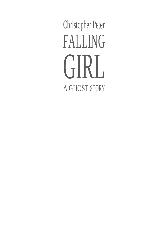Christopher Peter FALLING GIRI. A GHOST STORY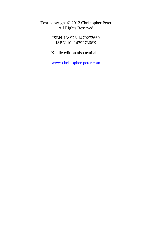Text copyright © 2012 Christopher Peter All Rights Reserved

> ISBN-13: 978-1479273669 ISBN-10: 147927366X

Kindle edition also available

[www.christopher-peter.com](http://www.christopher-peter.com/)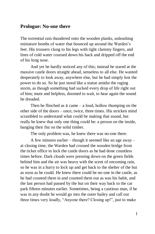## **Prologue: No-one there**

The torrential rain thundered onto the wooden planks, unleashing miniature bombs of water that bounced up around the Warden's feet. His trousers clung to his legs with tight clammy fingers, and lines of cold water coursed down his back and dripped off the end of his long nose.

And yet he hardly noticed any of this; instead he stared at the massive castle doors straight ahead, senseless to all else. He wanted desperately to look away, anywhere else, but he had simply lost the power to do so. So he just stood like a statue amidst the raging storm, as though something had sucked every drop of life right out of him; mute and helpless, doomed to wait, to hear again the sound he dreaded.

Then he flinched as it came  $-$  a loud, hollow thumping on the other side of the doors – once, twice, three times. His stricken mind scrambled to understand what could be making that sound, but really he knew that only one thing could be: a person on the inside, banging their fist on the solid timber.

The only problem was, he knew there was no-one there.

A few minutes earlier – though it seemed like an age away – at closing time, the Warden had crossed the wooden bridge from the ticket office to lock the castle doors as he had done countless times before. Dark clouds were pressing down on the green fields behind him and the air was heavy with the scent of oncoming rain, so he was in a hurry to lock up and get back to the shelter of the hut as soon as he could. He knew there could be no-one in the castle, as he had counted them in and counted them out as was his habit, and the last person had passed by the hut on their way back to the car park fifteen minutes earlier. Sometimes, being a cautious man, if he was in any doubt he would go into the outer bailey and call out three times very loudly, "Anyone there? Closing up!", just to make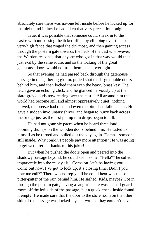absolutely sure there was no-one left inside before he locked up for the night; and in fact he had taken that very precaution tonight.

True, it was possible that someone could sneak in to the castle without passing the ticket office by climbing over the notvery-high fence that ringed the dry moat, and then gaining access through the postern gate towards the back of the castle. However, the Warden reasoned that anyone who got in that way would then just exit by the same route, and so the locking of the great gatehouse doors would not trap them inside overnight.

So that evening he had passed back through the gatehouse passage in the gathering gloom, pulled shut the large double doors behind him, and then locked them with the heavy brass key. The latch gave an echoing click, and he glanced nervously up at the slate-grey clouds now rearing over the castle. All around him the world had become still and almost oppressively quiet; nothing moved, the breeze had died and even the birds had fallen silent. He gave a sudden involuntary shiver, and began to hurry back across the bridge just as the first plump rain drops began to fall.

He had not gone six paces when he heard three loud, booming thumps on the wooden doors behind him. He tutted to himself as he turned and pulled out the key again. Damn – someone still inside. Why couldn't people pay more attention? He was going to get wet after all thanks to this joker!

But when he pushed the doors open and peered into the shadowy passage beyond, he could see no-one. "Hello?" he called impatiently into the musty air. "Come on, let's be having you. Come out now. I've got to lock up, it's closing time. Didn't you hear me call?" There was no reply; all he could hear was the soft pitter-patter of the rain behind him. He sighed. Kids, maybe? Got in through the postern gate, having a laugh? There was a small guard room off the left side of the passage, but a quick check inside found it empty. He made sure that the door to the store room on the other side of the passage was locked – yes it was, so they couldn't have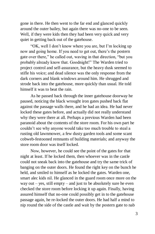gone in there. He then went to the far end and glanced quickly around the outer bailey, but again there was no-one to be seen. Well, if they were kids then they had been very quick and very quiet in getting back out of the gatehouse.

"OK, well I don't know where you are, but I'm locking up now and going home. If you need to get out, there's the postern gate over there," he called out, waving in that direction, "but you probably already know that. Goodnight!" The Warden tried to project control and self-assurance, but the heavy dusk seemed to stifle his voice; and dead silence was the only response from the dark corners and blank windows around him. He shrugged and strode back into the gatehouse, more quickly than usual. He told himself it was to beat the rain.

As he passed back through the inner gatehouse doorway he paused, noticing the black wrought iron gates pushed back flat against the passage walls there, and he had an idea. He had never locked these gates before, and actually did not really understand why they were there at all. Perhaps a previous Warden had been paranoid about the contents of the store room. For his own part he couldn't see why anyone would take too much trouble to steal a rusting old lawnmower, a few dusty garden tools and some scant cobweb-festooned remnants of building materials; and anyway the store room door was itself locked.

Now, however, he could see the point of the gates for that night at least. If he locked them, then whoever was in the castle could not sneak back into the gatehouse and try the same trick of banging on the outer doors. He found the right key on the bunch he held, and smiled to himself as he locked the gates. Warden one, smart alec kids nil. He glanced in the guard room once more on the way out – yes, still empty – and just to be absolutely sure he even checked the store room before locking it up again. Finally, having assured himself that no-one could possibly get in to the gatehouse passage again, he re-locked the outer doors. He had half a mind to nip round the side of the castle and wait by the postern gate to nab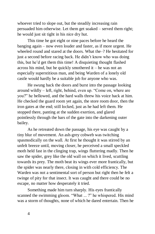whoever tried to slope out, but the steadily increasing rain persuaded him otherwise. Let them get soaked – served them right; he would just sit tight in his nice dry hut.

This time he got eight or nine paces before he heard the banging again – now even louder and faster, as if more urgent. He wheeled round and stared at the doors. What the–? He hesitated for just a second before racing back. He didn't know who was doing this, but he'd get them this time! A disquieting thought flashed across his mind, but he quickly smothered it – he was not an especially superstitious man, and being Warden of a lonely old castle would hardly be a suitable job for anyone who was.

He swung back the doors and burst into the passage looking around wildly – left, right, behind, even up. "Come on, where are you?" he bellowed, and the hard walls threw his voice back at him. He checked the guard room yet again, the store room door, then the iron gates at the end; still locked, just as he had left them. He stopped there, panting at the sudden exertion, and glared pointlessly through the bars of the gate into the darkening outer bailey.

As he retreated down the passage, his eye was caught by a tiny blur of movement. An ash-grey cobweb was twitching spasmodically on the wall. At first he thought it was stirred by an unfelt breeze until, moving closer, he perceived a small speckled moth held fast in the clinging trap, wings fluttering madly. Then he saw the spider, grey like the old wall on which it lived, scuttling towards its prey. The moth beat its wings ever more frantically, but the spider was nearly there, closing in with cold efficiency. The Warden was not a sentimental sort of person but right then he felt a twinge of pity for that insect. It was caught and there could be no escape, no matter how desperately it tried.

Something made him turn sharply. His eyes frantically scanned the swimming gloom. "What ... ?" he whispered. His mind was a storm of thoughts, none of which he dared entertain. Then he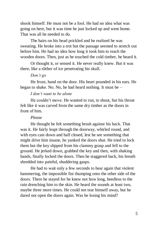shook himself. He must not be a fool. He had no idea what was going on here, but it was time he just locked up and went home. That was all he needed to do.

The hairs on his head prickled and he realised he was sweating. He broke into a trot but the passage seemed to stretch out before him. He had no idea how long it took him to reach the wooden doors. Then, just as he touched the cold timber, he heard it.

Or thought it, or sensed it. He never really knew. But it was there, like a slither of ice penetrating his skull.

### *Don't go*

He froze, hand on the door. His heart pounded in his ears. He began to shake. No. No, he had heard nothing. It must be –

### *I don't want to be alone*

He couldn't move. He wanted to run, to shout, but his throat felt like it was carved from the same dry timber as the doors in front of him.

#### *Please*

He thought he felt something brush against his back. That was it. He fairly leapt through the doorway, whirled round, and with eyes cast down and half closed, lest he see something that might drive him insane, he yanked the doors shut. He tried to lock them but the key slipped from his clammy grasp and fell to the ground. He jerked down, grabbed the key and then, with shaking hands, finally locked the doors. Then he staggered back, his breath shredded into painful, shuddering gasps.

He had to wait only a few seconds to hear again that violent hammering, the impossible fist thumping onto the other side of the doors. There he stayed for he knew not how long, heedless to the rain drenching him to the skin. He heard the sounds at least two, maybe three more times. He could not tear himself away, but he dared not open the doors again. Was he losing his mind?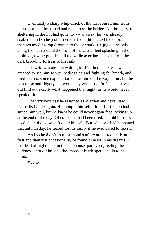Eventually a sharp whip-crack of thunder roused him from his stupor, and he turned and ran across the bridge. All thoughts of sheltering in the hut had gone now – anyway, he was already soaked – and so he just turned out the light, locked the door, and then resumed his rapid retreat to the car park. He jogged heavily along the path around the front of the castle, feet splashing in the rapidly growing puddles, all the while averting his eyes from the dark brooding fortress to his right.

His wife was already waiting for him in the car. She was amazed to see him so wet, bedraggled and fighting for breath, and tried to coax some explanation out of him on the way home, but he was tense and fidgety and would say very little. In fact she never did find out exactly what happened that night, as he would never speak of it.

The very next day he resigned as Warden and never saw Pentrillis Castle again. He thought himself a fool, for the job had suited him well, but he knew he could never again face locking up at the end of the day. Of course he had been tired, he told himself, needed a holiday, wasn't quite himself. But whatever had happened that autumn day, he feared for his sanity if he ever dared to return.

And so he didn't; but for months afterwards, frequently at first and then just occasionally, he found himself in his dreams in the dead of night back in the gatehouse, paralysed, feeling the darkness enfold him, and the impossible whisper slice in to his mind.

*Please ...*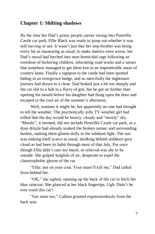# **Chapter 1: Shifting shadows**

By the time her Dad's grimy people carrier swung into Pentrillis Castle car park, Ellie Black was ready to jump out whether it was still moving or not. It wasn't just that her step-brother was being every bit as nauseating as usual; to make matters even worse, her Dad's mood had lurched into near-homicidal rage following an overdose of bickering children, infuriating road works and a satnav that somehow managed to get them lost in an impenetrable maze of country lanes. Finally a signpost to the castle had been spotted hiding in an overgrown hedge, and so mercifully the nightmare journey had drawn to a close. Dad braked just a bit too sharply and the car slid to a halt in a flurry of grit, but he got no further than opening his mouth before his daughter had flung open the door and escaped to the cool air of the summer's afternoon.

Well, summer it might be, but apparently no-one had thought to tell the weather. The psychotically jolly TV weather girl had trilled that the day would be breezy, cloudy and "mostly" dry. "Mostly", it seemed, did not include Pentrillis Castle car park, as a dour drizzle had already soaked the broken tarmac and surrounding bushes, making them glisten dully in the subdued light. The sun was making itself scarce as usual, skulking behind stubborn grey cloud as had been its habit through most of that July. For once though Ellie didn't care too much, so relieved was she to be outside. She gulped lungfuls of air, desperate to expel the claustrophobic gloom of the car.

"Ellie, put on your coat. Your mum'll kill me," Dad called from behind her.

"OK," she sighed, opening up the back of the car to fetch her blue raincoat. She glanced at her black fingertips. Ugh. Didn't he ever wash this car?

"Get mine too," Callum grunted expressionlessly from the back seat.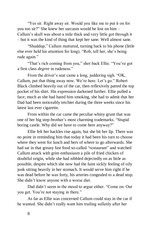"Yes sir. Right away sir. Would you like me to put it on for you too sir?" She knew her sarcasm would be lost on him – Callum's skull was about a mile thick and very little got through it – but it was the kind of thing that kept her sane. Well almost sane.

"Shuddup," Callum muttered, turning back to his phone (little else ever held his attention for long). "Rob, tell her, she's being rude again."

"That's rich coming from you," shot back Ellie. "You've got a first class *degree* in rudeness."

From the driver's seat came a long, juddering sigh. "OK, Callum, put that thing away now. We're here. Let's go." Robert Black climbed heavily out of the car, then reflexively patted the top pocket of his shirt. His expression darkened further. Ellie pulled a face; much as she had hated him smoking, she had to admit that her Dad had been noticeably tetchier during the three weeks since his latest last ever cigarette.

From within the car came the peculiar whiny grunt that was one of her big step-brother's most charming trademarks. "Stupid boring castle. Why did we have to come here anyway?"

Ellie felt her hackles rise again, but she bit her lip. There was no point in reminding him that today it had been his turn to choose where they went for lunch and hers of where to go afterwards. She had sat in that greasy fast food so-called "restaurant" and watched Callum attack with grim enthusiasm a pile of fried chicken of doubtful origin, while she had nibbled dejectedly on as little as possible, despite which she now had the faint sickly feeling of oily junk sitting heavily in her stomach. It would serve him right if he was dead before he was forty, his arteries congealed to a dead stop. She didn't know anyone with a worse diet.

Dad didn't seem in the mood to argue either. "Come on. Out you get. You're not staying in there."

As far as Ellie was concerned Callum could stay in the car if he wanted. She didn't really want him trailing sullenly after her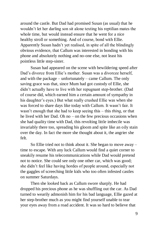around the castle. But Dad had promised Susan (as usual) that he wouldn't let her darling son sit alone texting his reptilian mates the whole time, but would instead ensure that he went for a nice healthy stroll or something. And of course, bond with Ellie. Apparently Susan hadn't yet realised, in spite of all the blindingly obvious evidence, that Callum was interested in bonding with his phone and absolutely nothing and no-one else, not least his pointless little step-sister.

Susan had appeared on the scene with bewildering speed after Dad's divorce from Ellie's mother. Susan was a divorcee herself, and with the package – unfortunately – came Callum. The only saving grace was that, since Mum had got custody of Ellie, she didn't actually have to live with her repugnant step-brother. (Dad of course did, which earned him a certain amount of sympathy in his daughter's eyes.) But what really crushed Ellie was when she was forced to share days like today with Callum. It wasn't fair. It wasn't enough that she had to keep seeing this – this *thing*, or that he lived with her Dad. Oh no – on the few precious occasions when she had quality time with Dad, this revolting little imbecile was invariably there too, spreading his gloom and spite like an oily stain over the day. In fact the more she thought about it, the angrier she felt.

So Ellie tried not to think about it. She began to move away – time to escape*.* With any luck Callum would find a quiet corner to sneakily resume his telecommunications while Dad would pretend not to notice. She could see only one other car, which was good; she didn't feel like having hordes of people around, especially not the gaggles of screeching little kids who too often infested castles on summer Saturdays.

Then she looked back as Callum swore sharply. He had dropped his precious phone as he was shuffling out the car. As Dad turned to wearily admonish him for his bad language, Ellie gazed at her step-brother much as you might find yourself unable to tear your eyes away from a road accident. It was so hard to believe that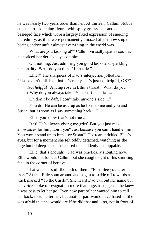he was nearly two years older than her. At thirteen, Callum Stubbs cut a short, slouching figure, with spiky greasy hair and an acnebesieged face which wore a largely fixed expression of sneering incredulity, as if he were permanently amazed at just how stupid, boring and/or unfair almost everything in the world was.

"What are you looking at?" Callum virtually spat as soon as he noticed her derisive eyes on him.

"Oh, nothing. Just admiring you good looks and sparkling personality. What do you think? Imbecile."

"Ellie!" The sharpness of Dad's interjection jolted her. "Please don't talk like that. It's really – it's just not helpful, OK?"

*Not helpful?* A lump rose in Ellie's throat. "What do you mean? Why do you always take *his* side? It's not fair...!"

"Oh don't be daft, I don't take anyone's side ..."

"You do! He can be as crap as he likes to me and you and Susan, but as soon as I say something back ..."

"Ellie, you know that's not true ..."

"It is! He's always giving me grief! But you just make allowances for him, don't you? Just because you can't handle him! You won't stand up to him – or Susan!" Hot tears prickled Ellie's eyes, but for a moment she felt oddly detached, watching as the rage buried deep inside her flared up, suddenly unstoppable.

"Ellie, that's enough!" Dad was practically shouting now. Ellie would not look at Callum but she caught sight of his smirking face in the corner of her eye.

That was it – stuff the both of them! "Fine. See you later then." At that Ellie spun around and began to stride off towards a track marked "To the Castle". She heard Dad call out her name but his voice spoke of resignation more than rage; it suggested he knew it was best to let her go. Even now part of her wanted him to call her back, to run after her; but another part would have hated it. She was afraid that she would cry if he did that and – no, not in front of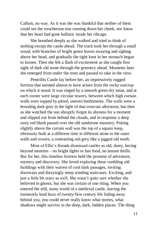Callum, no way. As it was she was thankful that neither of them could see the treacherous tear running down her cheek, nor know that her heart had gone ballistic inside her ribcage.

She breathed deeply as she walked and tried to think of nothing except the castle ahead. The track took her through a small wood, with branches of bright green leaves swaying and sighing above her head, and gradually the tight knot in her stomach began to loosen. Then she felt a flash of excitement as she caught first sight of dark old stone through the greenery ahead. Moments later she emerged from under the trees and paused to take in the view.

Pentrillis Castle lay before her, an impressively rugged fortress that seemed almost to have arisen from the rocky outcrop on which it stood. It was ringed by a smooth green dry moat, and at each corner were large circular towers, between which high curtain walls were topped by pitted, uneven battlements. The walls were a brooding dark grey in the light of that overcast afternoon, but then as she watched the sun abruptly forgot its shyness for a moment and slipped out from behind the clouds, and in response a deep rusty red blush passed over the old sandstone masonry. Poking slightly above the curtain wall was the top of a square keep, obviously built at a different time in different stone to the outer walls and towers, a contrasting ash grey like a jagged old tooth.

Most of Ellie's friends dismissed castles as old, dusty, boring beyond mention – no bright lights or fast food, no instant thrills. But for her, this timeless fortress held the promise of adventure, mystery and discovery. She loved exploring these rambling old buildings with their warren of cool dark passages, inviting doorways and dizzyingly steep winding staircases. Exciting, and just a little bit scary as well. She wasn't quite sure whether she believed in ghosts, but she was certain of one thing. When you entered the still, stony world of a medieval castle, leaving the insistently loud buzz of twenty-first century life fading away behind you, you could never really know what stories, what shadows might survive in the deep, dark, hidden places. The thing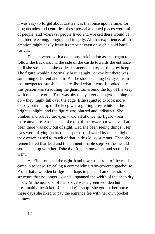it was easy to forget about castles was that once upon a time, for long decades and centuries, these now abandoned places were full of people; and wherever people lived and worked there would be laughter, weeping, longing and tragedy. All that experience, all that emotion might easily leave its imprint even on such a cold hard canvas.

Ellie shivered with a delicious anticipation as she began to follow the track around the side of the castle towards the entrance – until she stopped as she noticed someone on top of the grey keep. The figure wouldn't normally have caught her eye but there was something different about it. As she stood shading her eyes from the unexpected sunshine, she realised what it was. It looked like this person was straddling the guard rail around the top of the keep, with one leg over it. That was obviously a very dangerous thing to do – they might fall over the edge. Ellie squinted to look more closely but the top of the keep was a glaring grey-white in the bright sunlight, and the figure was blurred and indistinct. She blinked and rubbed her eyes – and all at once the figure wasn't there anymore. She scanned the top of the tower but whoever had been there was now out of sight. Had she been seeing things? Her eyes were playing tricks on her perhaps, dazzled by the sunlight – they weren't used to much of that in this lousy summer. Then she remembered that Dad and the unmentionable step-brother would soon catch up with her if she didn't get a move on, and so on she went.

As Ellie rounded the right-hand tower the front of the castle came in to view, revealing a commanding twin-towered gatehouse. From that a wooden bridge – perhaps in place of an older stone structure that no longer existed – spanned the width of the deep dry moat. At the near end of the bridge was a green wooden hut, presumably the ticket office and gift shop. She got out her purse – these days she liked to pay the entrance fee with her own pocket money.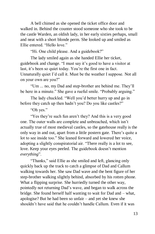A bell chimed as she opened the ticket office door and walked in. Behind the counter stood someone who she took to be the castle Warden, an oldish lady, in her early sixties perhaps, small and neat with a short blonde perm. She looked up and smiled as Ellie entered. "Hello love."

"Hi. One child please. And a guidebook?"

The lady smiled again as she handed Ellie her ticket, guidebook and change. "I must say it's good to have a visitor at last, it's been so quiet today. You're the first one in fact. Unnaturally quiet I'd call it. Must be the weather I suppose. Not all on your own are you?"

"Um ... no, my Dad and step-brother are behind me. They'll be here in a minute." She gave a rueful smile. "Probably arguing."

The lady chuckled. "Well you'd better hurry up and go in before they catch up then hadn't you? Do you like castles?"

"Oh yes."

"Yes they're such fun aren't they? And this is a very good one. The outer walls are complete and unbreached, which isn't actually true of most medieval castles, so the gatehouse really is the only way in and out, apart from a little postern gate. There's quite a lot to see inside too." She leaned forward and lowered her voice, adopting a slightly conspiratorial air. "There really is a lot to see, love. Keep your eyes peeled. The guidebook doesn't mention *everything*".

"Thanks," said Ellie as she smiled and left, glancing only quickly back up the track to catch a glimpse of Dad and Callum walking towards her. She saw Dad wave and the bent figure of her step-brother walking slightly behind, absorbed by his rotten phone. What a flipping surprise. She hurriedly turned the other way, pointedly not returning Dad's wave, and began to walk across the bridge. She found herself half wanting to wait for Dad and – what, apologise? But he had been so unfair – and yet she knew she shouldn't have said that he couldn't handle Callum. Even if it was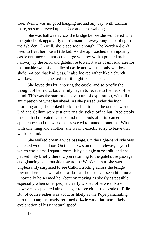true. Well it was no good hanging around anyway, with Callum there, so she screwed up her face and kept walking.

She was halfway across the bridge before she wondered why the guidebook apparently didn't mention everything, according to the Warden. Oh well, she'd see soon enough. The Warden didn't need to treat her like a little kid. As she approached the imposing castle entrance she noticed a large window with a pointed arch halfway up the left-hand gatehouse tower; it was of unusual size for the outside wall of a medieval castle and was the only window she'd noticed that had glass. It also looked rather like a church window, and she guessed that it might be a chapel.

She loved this bit, entering the castle, and so briefly the thought of her ridiculous family began to recede to the back of her mind. This was the start of an adventure of exploration, with all the anticipation of what lay ahead. As she passed under the high brooding arch, she looked back one last time at the outside world. Dad and Callum were just entering the ticket office hut. Predictably the sun had retreated back behind the clouds after its cameo appearance and the world had reverted to muted monotone. What with one thing and another, she wasn't exactly sorry to leave that world behind.

She walked down a wide passage. On the right-hand side was a locked wooden door. On the left was an open archway, beyond which was a small square room lit by a single arrow slit, and she paused only briefly there. Upon returning to the gatehouse passage and glancing back outside toward the Warden's hut, she was unpleasantly surprised to see Callum trotting across the bridge towards her. This was about as fast as she had ever seen him move – normally he seemed hell-bent on moving as slowly as possible, especially when other people clearly wished otherwise. Now however he appeared almost eager to see either the castle or Ellie. But of course either was about as likely as the Pope parachuting into the moat; the newly-returned drizzle was a far more likely explanation of his unnatural speed.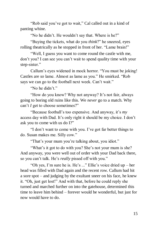"Rob said you've got to wait," Cal called out in a kind of panting whine.

"No he didn't. He wouldn't say that. Where is he?"

"Buying the tickets, what do you *think*?" he sneered, eyes rolling theatrically as he stopped in front of her. "Lame brain!"

"Well, I guess you want to come round the castle with me, don't you? I can see you can't wait to spend quality time with your step-sister."

Callum's eyes widened in mock horror. "You must be joking! Castles are *so* lame. Almost as lame as you." He smirked. "Rob says we can go to the football next week. Can't wait."

"No he didn't"

"How do you know? Why not anyway? It's not fair, always going to boring old ruins like this. We *never* go to a match. Why can't *I* get to choose sometimes?"

"Because football's too expensive. And anyway, it's *my* access day with Dad. It's only right it should be my choice. I don't ask you to come with us do I?"

"I don't want to come with you. I've got far better things to do. Susan makes me. Silly cow."

"That's your mum you're talking about, you idiot."

"What's it got to do with you? She's not your mum is she? And anyway, you were well out of order with your Dad back there, so you can't talk. He's *really* pissed off with you."

"Oh yes, I'm sure he is. He's ..." Ellie's voice dried up – her head was filled with Dad again and the recent row. Callum had hit a sore spot – and judging by the exultant sneer on his face, he knew it. "Oh, just get lost!" And with that, before he could reply she turned and marched further on into the gatehouse, determined this time to leave him behind – forever would be wonderful, but just for now would have to do.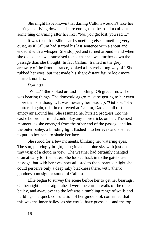She might have known that darling Callum wouldn't take her parting shot lying down, and sure enough she heard him call out something charming after her like, "No, *you* get lost, you sad ..."

It was then that Ellie heard something else, something very quiet, as if Callum had started his last sentence with a shout and ended it with a whisper. She stopped and turned around – and when she did so, she was surprised to see that she was further down the passage than she thought. In fact Callum, framed in the grey archway of the front entrance, looked a bizarrely long way off. She rubbed her eyes, but that made his slight distant figure look more blurred, not less.

## *Don't go*

"What?" She looked around – nothing. Oh great – now she was hearing things. The domestic aggro must be getting to her even more than she thought. It was messing her head up. "Get lost," she muttered again, this time directed at Callum, Dad and all of the empty air around her. She resumed her hurried progress into the castle before her mind could play any more tricks on her. The next moment, as she emerged from the other end of the passage and into the outer bailey, a blinding light flashed into her eyes and she had to put up her hand to shade her face.

She stood for a few moments, blinking her watering eyes. The sun, piercingly bright, hung in a deep blue sky with just one tiny wisp of a cloud in view. The weather had certainly changed dramatically for the better. She looked back in to the gatehouse passage, but with her eyes now adjusted to the vibrant sunlight she could perceive only a deep inky blackness there, with (thank goodness) no sign or sound of Callum.

Ellie began to survey the scene before her to get her bearings. On her right and straight ahead were the curtain walls of the outer bailey, and away over to the left was a tumbling range of walls and buildings – a quick consultation of her guidebook confirmed that this was the inner bailey, as she would have guessed – and the top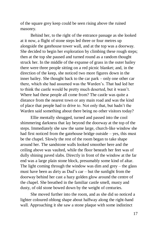of the square grey keep could be seen rising above the ruined masonry.

Behind her, to the right of the entrance passage as she looked at it now, a flight of stone steps led three or four metres up alongside the gatehouse tower wall, and at the top was a doorway. She decided to begin her exploration by climbing these rough steps; then at the top she paused and turned round as a random thought struck her. In the middle of the expanse of grass in the outer bailey there were three people sitting on a red picnic blanket; and, in the direction of the keep, she noticed two more figures down in the inner bailey. She thought back to the car park – only one other car there, which she had assumed was the Warden's. That had led her to think the castle would be pretty much deserted, but it wasn't. Where had these people all come from? The castle was quite a distance from the nearest town or any main road and was the kind of place that people had to drive to. Not only that, but hadn't the Warden said something about there being no other visitors today?

Ellie mentally shrugged, turned and passed into the cool shimmering darkness that lay beyond the doorway at the top of the steps. Immediately she saw the same large, church-like window she had first noticed from the gatehouse bridge outside – yes, this must be the chapel. Slowly the rest of the room began to take shape around her. The sandstone walls looked smoother here and the ceiling above was vaulted, while the floor beneath her feet was of dully shining paved slabs. Directly in front of the window at the far end was a large plain stone block, presumably some kind of altar. The light coming through the window was dim and grey – the glass must have been as dirty as Dad's car – but the sunlight from the doorway behind her cast a hazy golden glow around the centre of the chapel. She breathed in the familiar castle smell, musty and dusty, of old stone bowed down by the weight of centuries.

She moved further into the room, and as she did so noticed a lighter coloured oblong shape about halfway along the right-hand wall. Approaching it she saw a stone plaque with some indistinct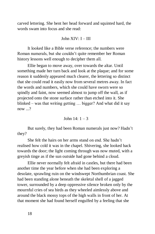carved lettering. She bent her head forward and squinted hard, the words swam into focus and she read:

### John  $XIV: I - III$

It looked like a Bible verse reference; the numbers were Roman numerals, but she couldn't quite remember her Roman history lessons well enough to decipher them all.

Ellie began to move away, over towards the altar. Until something made her turn back and look at the plaque; and for some reason it suddenly appeared much clearer, the lettering so distinct that she could read it easily now from several metres away. In fact the words and numbers, which she could have sworn were so spindly and faint, now seemed almost to jump off the wall, as if projected onto the stone surface rather than etched into it. She blinked – was that writing getting … bigger? And what did it say now ...?

John  $14: 1 - 3$ 

But surely, they had been Roman numerals just now? Hadn't they?

She felt the hairs on her arms stand on end. She hadn't realised how cold it was in the chapel. Shivering, she looked back towards the door; the light coming through was now muted, with a greyish tinge as if the sun outside had gone behind a cloud.

Ellie never normally felt afraid in castles, but there had been another time the year before when she had been exploring a desolate, sprawling ruin on the windswept Northumbrian coast. She had been standing alone beneath the skeletal shell of a jagged tower, surrounded by a deep oppressive silence broken only by the mournful cries of sea birds as they wheeled aimlessly above and around the black mossy tops of the high walls in front of her. At that moment she had found herself engulfed by a feeling that she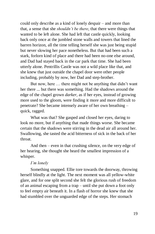could only describe as a kind of lonely despair – and more than that, a sense that she *shouldn't be there*, that there were things that wanted to be left alone. She had left that castle quickly, looking back only once at the jumbled stone walls and towers that lined the barren horizon, all the time telling herself she was just being stupid but never slowing her pace nonetheless. But that had been such a stark, forlorn kind of place and there had been no-one else around, and Dad had stayed back in the car park that time. She had been utterly alone. Pentrillis Castle was not a wild place like that, and she knew that just outside the chapel door were other people including, probably by now, her Dad and step-brother.

But now, here … there might not be anything that didn't want her there ... but there was something. Had the shadows around the edge of the chapel grown *darker*, as if her eyes, instead of growing more used to the gloom, were finding it more and more difficult to penetrate? She became intensely aware of her own breathing – quick, ragged.

What was that? She gasped and closed her eyes, daring to look no more, but if anything that made things worse. She became certain that the shadows were stirring in the dead air all around her. Swallowing, she tasted the acid bitterness of sick in the back of her throat.

And then – even in that crushing silence, on the very edge of her hearing, she thought she heard the smallest impression of a whisper.

## *I'm lonely*

Something snapped. Ellie tore towards the doorway, throwing herself blindly at the light. The next moment was all yellow-white glare, and for one split second she felt the glorious rush of freedom of an animal escaping from a trap – until she put down a foot only to feel empty air beneath it. In a flash of horror she knew that she had stumbled over the unguarded edge of the steps. Her stomach